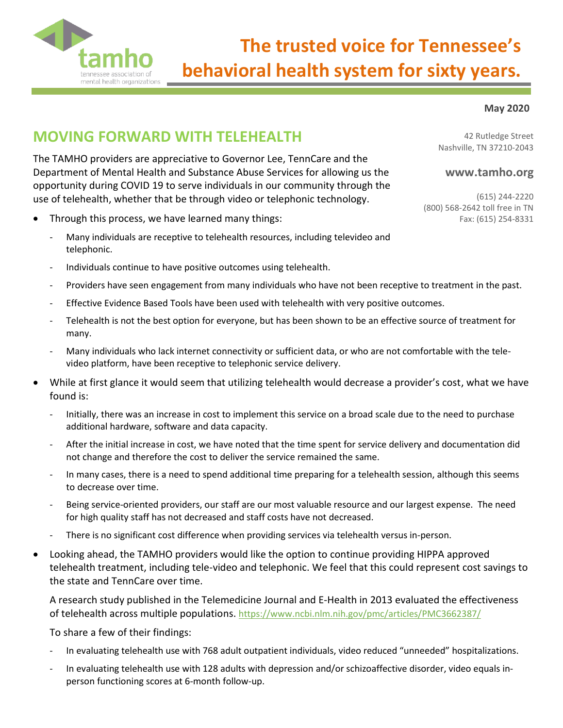

# **The trusted voice for Tennessee's behavioral health system for sixty years.**

#### **May 2020**

## **MOVING FORWARD WITH TELEHEALTH**

The TAMHO providers are appreciative to Governor Lee, TennCare and the Department of Mental Health and Substance Abuse Services for allowing us the opportunity during COVID 19 to serve individuals in our community through the use of telehealth, whether that be through video or telephonic technology.

- Through this process, we have learned many things:
	- Many individuals are receptive to telehealth resources, including televideo and telephonic.
	- Individuals continue to have positive outcomes using telehealth.
	- Providers have seen engagement from many individuals who have not been receptive to treatment in the past.
	- Effective Evidence Based Tools have been used with telehealth with very positive outcomes.
	- Telehealth is not the best option for everyone, but has been shown to be an effective source of treatment for many.
	- Many individuals who lack internet connectivity or sufficient data, or who are not comfortable with the televideo platform, have been receptive to telephonic service delivery.
- While at first glance it would seem that utilizing telehealth would decrease a provider's cost, what we have found is:
	- Initially, there was an increase in cost to implement this service on a broad scale due to the need to purchase additional hardware, software and data capacity.
	- After the initial increase in cost, we have noted that the time spent for service delivery and documentation did not change and therefore the cost to deliver the service remained the same.
	- In many cases, there is a need to spend additional time preparing for a telehealth session, although this seems to decrease over time.
	- Being service-oriented providers, our staff are our most valuable resource and our largest expense. The need for high quality staff has not decreased and staff costs have not decreased.
	- There is no significant cost difference when providing services via telehealth versus in-person.
- Looking ahead, the TAMHO providers would like the option to continue providing HIPPA approved telehealth treatment, including tele-video and telephonic. We feel that this could represent cost savings to the state and TennCare over time.

A research study published in the Telemedicine Journal and E-Health in 2013 evaluated the effectiveness of telehealth across multiple populations. <https://www.ncbi.nlm.nih.gov/pmc/articles/PMC3662387/>

To share a few of their findings:

- In evaluating telehealth use with 768 adult outpatient individuals, video reduced "unneeded" hospitalizations.
- In evaluating telehealth use with 128 adults with depression and/or schizoaffective disorder, video equals inperson functioning scores at 6-month follow-up.

42 Rutledge Street Nashville, TN 37210-2043

### **www.tamho.org**

(615) 244-2220 (800) 568-2642 toll free in TN Fax: (615) 254-8331